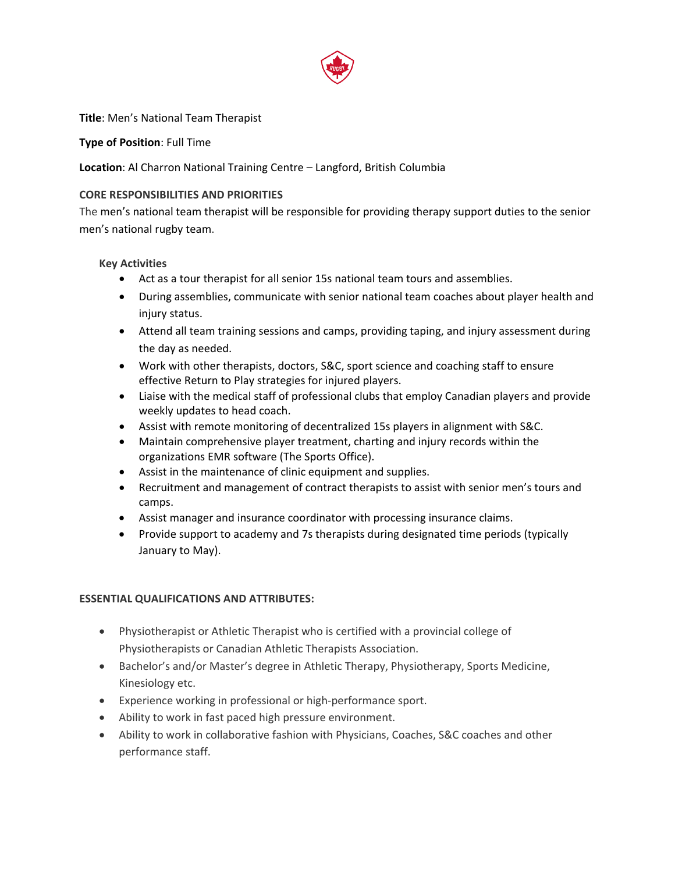

## **Title**: Men's National Team Therapist

## **Type of Position**: Full Time

# **Location**: Al Charron National Training Centre – Langford, British Columbia

#### **CORE RESPONSIBILITIES AND PRIORITIES**

The men's national team therapist will be responsible for providing therapy support duties to the senior men's national rugby team.

#### **Key Activities**

- Act as a tour therapist for all senior 15s national team tours and assemblies.
- During assemblies, communicate with senior national team coaches about player health and injury status.
- Attend all team training sessions and camps, providing taping, and injury assessment during the day as needed.
- Work with other therapists, doctors, S&C, sport science and coaching staff to ensure effective Return to Play strategies for injured players.
- Liaise with the medical staff of professional clubs that employ Canadian players and provide weekly updates to head coach.
- Assist with remote monitoring of decentralized 15s players in alignment with S&C.
- Maintain comprehensive player treatment, charting and injury records within the organizations EMR software (The Sports Office).
- Assist in the maintenance of clinic equipment and supplies.
- Recruitment and management of contract therapists to assist with senior men's tours and camps.
- Assist manager and insurance coordinator with processing insurance claims.
- Provide support to academy and 7s therapists during designated time periods (typically January to May).

#### **ESSENTIAL QUALIFICATIONS AND ATTRIBUTES:**

- Physiotherapist or Athletic Therapist who is certified with a provincial college of Physiotherapists or Canadian Athletic Therapists Association.
- Bachelor's and/or Master's degree in Athletic Therapy, Physiotherapy, Sports Medicine, Kinesiology etc.
- Experience working in professional or high-performance sport.
- Ability to work in fast paced high pressure environment.
- Ability to work in collaborative fashion with Physicians, Coaches, S&C coaches and other performance staff.